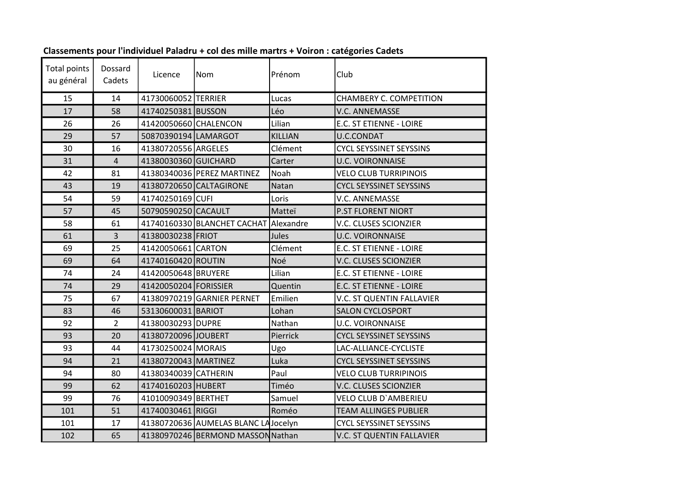| <b>Total points</b><br>au général | Dossard<br>Cadets | Licence               | Nom                                 | Prénom         | Club                           |
|-----------------------------------|-------------------|-----------------------|-------------------------------------|----------------|--------------------------------|
| 15                                | 14                | 41730060052 TERRIER   |                                     | Lucas          | CHAMBERY C. COMPETITION        |
| 17                                | 58                | 41740250381 BUSSON    |                                     | Léo            | <b>V.C. ANNEMASSE</b>          |
| 26                                | 26                | 41420050660 CHALENCON |                                     | Lilian         | E.C. ST ETIENNE - LOIRE        |
| 29                                | 57                | 50870390194 LAMARGOT  |                                     | <b>KILLIAN</b> | <b>U.C.CONDAT</b>              |
| 30                                | 16                | 41380720556 ARGELES   |                                     | Clément        | <b>CYCL SEYSSINET SEYSSINS</b> |
| 31                                | $\overline{4}$    | 41380030360 GUICHARD  |                                     | Carter         | <b>U.C. VOIRONNAISE</b>        |
| 42                                | 81                |                       | 41380340036 PEREZ MARTINEZ          | Noah           | <b>VELO CLUB TURRIPINOIS</b>   |
| 43                                | 19                |                       | 41380720650 CALTAGIRONE             | Natan          | <b>CYCL SEYSSINET SEYSSINS</b> |
| 54                                | 59                | 41740250169 CUFI      |                                     | Loris          | <b>V.C. ANNEMASSE</b>          |
| 57                                | 45                | 50790590250 CACAULT   |                                     | Matteï         | <b>P.ST FLORENT NIORT</b>      |
| 58                                | 61                |                       | 41740160330 BLANCHET CACHAT         | Alexandre      | V.C. CLUSES SCIONZIER          |
| 61                                | $\overline{3}$    | 41380030238 FRIOT     |                                     | Jules          | <b>U.C. VOIRONNAISE</b>        |
| 69                                | 25                | 41420050661 CARTON    |                                     | Clément        | E.C. ST ETIENNE - LOIRE        |
| 69                                | 64                | 41740160420 ROUTIN    |                                     | Noé            | V.C. CLUSES SCIONZIER          |
| 74                                | 24                | 41420050648 BRUYERE   |                                     | Lilian         | E.C. ST ETIENNE - LOIRE        |
| 74                                | 29                | 41420050204 FORISSIER |                                     | Quentin        | E.C. ST ETIENNE - LOIRE        |
| 75                                | 67                |                       | 41380970219 GARNIER PERNET          | Emilien        | V.C. ST QUENTIN FALLAVIER      |
| 83                                | 46                | 53130600031 BARIOT    |                                     | Lohan          | <b>SALON CYCLOSPORT</b>        |
| 92                                | $\overline{2}$    | 41380030293 DUPRE     |                                     | Nathan         | <b>U.C. VOIRONNAISE</b>        |
| 93                                | 20                | 41380720096 JOUBERT   |                                     | Pierrick       | <b>CYCL SEYSSINET SEYSSINS</b> |
| 93                                | 44                | 41730250024 MORAIS    |                                     | Ugo            | LAC-ALLIANCE-CYCLISTE          |
| 94                                | 21                | 41380720043 MARTINEZ  |                                     | Luka           | <b>CYCL SEYSSINET SEYSSINS</b> |
| 94                                | 80                | 41380340039 CATHERIN  |                                     | Paul           | <b>VELO CLUB TURRIPINOIS</b>   |
| 99                                | 62                | 41740160203 HUBERT    |                                     | Timéo          | <b>V.C. CLUSES SCIONZIER</b>   |
| 99                                | 76                | 41010090349 BERTHET   |                                     | Samuel         | <b>VELO CLUB D'AMBERIEU</b>    |
| 101                               | 51                | 41740030461 RIGGI     |                                     | Roméo          | <b>TEAM ALLINGES PUBLIER</b>   |
| 101                               | 17                |                       | 41380720636 AUMELAS BLANC LAJocelyn |                | <b>CYCL SEYSSINET SEYSSINS</b> |
| 102                               | 65                |                       | 41380970246 BERMOND MASSON Nathan   |                | V.C. ST QUENTIN FALLAVIER      |

## Classements pour l'individuel Paladru + col des mille martrs + Voiron : catégories Cadets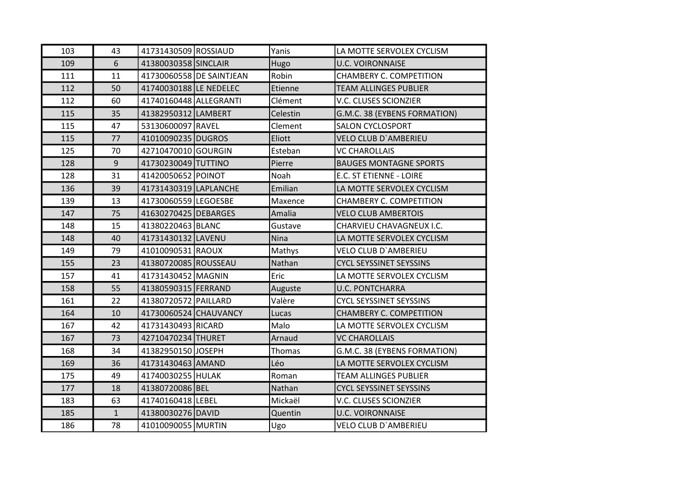| 103 | 43           | 41731430509 ROSSIAUD   |                          | Yanis    | LA MOTTE SERVOLEX CYCLISM      |
|-----|--------------|------------------------|--------------------------|----------|--------------------------------|
| 109 | 6            | 41380030358 SINCLAIR   |                          | Hugo     | <b>U.C. VOIRONNAISE</b>        |
| 111 | 11           |                        | 41730060558 DE SAINTJEAN | Robin    | CHAMBERY C. COMPETITION        |
| 112 | 50           | 41740030188 LE NEDELEC |                          | Etienne  | <b>TEAM ALLINGES PUBLIER</b>   |
| 112 | 60           | 41740160448 ALLEGRANTI |                          | Clément  | V.C. CLUSES SCIONZIER          |
| 115 | 35           | 41382950312 LAMBERT    |                          | Celestin | G.M.C. 38 (EYBENS FORMATION)   |
| 115 | 47           | 53130600097 RAVEL      |                          | Clement  | <b>SALON CYCLOSPORT</b>        |
| 115 | 77           | 41010090235 DUGROS     |                          | Eliott   | <b>VELO CLUB D'AMBERIEU</b>    |
| 125 | 70           | 42710470010 GOURGIN    |                          | Esteban  | <b>VC CHAROLLAIS</b>           |
| 128 | 9            | 41730230049 TUTTINO    |                          | Pierre   | <b>BAUGES MONTAGNE SPORTS</b>  |
| 128 | 31           | 41420050652 POINOT     |                          | Noah     | E.C. ST ETIENNE - LOIRE        |
| 136 | 39           | 41731430319 LAPLANCHE  |                          | Emilian  | LA MOTTE SERVOLEX CYCLISM      |
| 139 | 13           | 41730060559 LEGOESBE   |                          | Maxence  | <b>CHAMBERY C. COMPETITION</b> |
| 147 | 75           | 41630270425 DEBARGES   |                          | Amalia   | <b>VELO CLUB AMBERTOIS</b>     |
| 148 | 15           | 41380220463 BLANC      |                          | Gustave  | CHARVIEU CHAVAGNEUX I.C.       |
| 148 | 40           | 41731430132 LAVENU     |                          | Nina     | LA MOTTE SERVOLEX CYCLISM      |
| 149 | 79           | 41010090531 RAOUX      |                          | Mathys   | <b>VELO CLUB D'AMBERIEU</b>    |
| 155 | 23           | 41380720085 ROUSSEAU   |                          | Nathan   | <b>CYCL SEYSSINET SEYSSINS</b> |
| 157 | 41           | 41731430452 MAGNIN     |                          | Eric     | LA MOTTE SERVOLEX CYCLISM      |
| 158 | 55           | 41380590315 FERRAND    |                          | Auguste  | <b>U.C. PONTCHARRA</b>         |
| 161 | 22           | 41380720572 PAILLARD   |                          | Valère   | <b>CYCL SEYSSINET SEYSSINS</b> |
| 164 | 10           | 41730060524 CHAUVANCY  |                          | Lucas    | <b>CHAMBERY C. COMPETITION</b> |
| 167 | 42           | 41731430493 RICARD     |                          | Malo     | LA MOTTE SERVOLEX CYCLISM      |
| 167 | 73           | 42710470234 THURET     |                          | Arnaud   | <b>VC CHAROLLAIS</b>           |
| 168 | 34           | 41382950150 JOSEPH     |                          | Thomas   | G.M.C. 38 (EYBENS FORMATION)   |
| 169 | 36           | 41731430463 AMAND      |                          | Léo      | LA MOTTE SERVOLEX CYCLISM      |
| 175 | 49           | 41740030255 HULAK      |                          | Roman    | <b>TEAM ALLINGES PUBLIER</b>   |
| 177 | 18           | 41380720086 BEL        |                          | Nathan   | <b>CYCL SEYSSINET SEYSSINS</b> |
| 183 | 63           | 41740160418 LEBEL      |                          | Mickaël  | <b>V.C. CLUSES SCIONZIER</b>   |
| 185 | $\mathbf{1}$ | 41380030276 DAVID      |                          | Quentin  | <b>U.C. VOIRONNAISE</b>        |
| 186 | 78           | 41010090055 MURTIN     |                          | Ugo      | <b>VELO CLUB D'AMBERIEU</b>    |